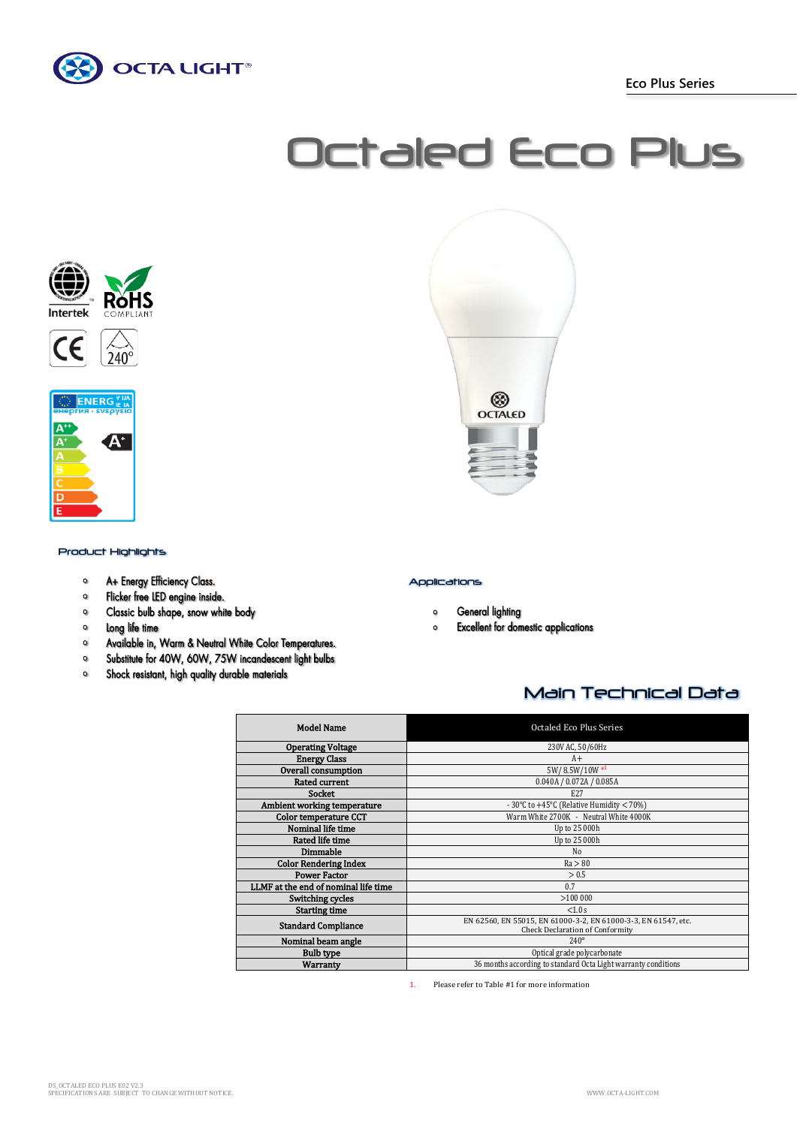

 **Eco Plus Series**

# Octaled Eco Plus





Product Highlights

- A+ Energy Efficiency Class.  $\bullet$
- $\bullet$ Flicker free LED engine inside.
- $\mathbf{o}$ Classic bulb shape, snow white body
- $\bullet$ Long life time
- $\bullet$ Available in, Warm & Neutral White Color Temperatures.
- Substitute for 40W, 60W, 75W incandescent light bulbs  $\bullet$
- Shock resistant, high quality durable materials  $\bullet$

## Applications

- $\circ$ **General lighting**
- **Excellent for domestic applications**  $\circ$

❀ **OCTALED** 

## Main Technical Data

| <b>Model Name</b>                    | Octaled Eco Plus Series                                                                                  |
|--------------------------------------|----------------------------------------------------------------------------------------------------------|
| <b>Operating Voltage</b>             | 230V AC, 50/60Hz                                                                                         |
| <b>Energy Class</b>                  | $A+$                                                                                                     |
| Overall consumption                  | 5W/8.5W/10W*1                                                                                            |
| <b>Rated current</b>                 | 0.040A / 0.072A / 0.085A                                                                                 |
| <b>Socket</b>                        | E <sub>27</sub>                                                                                          |
| Ambient working temperature          | - 30°C to +45°C (Relative Humidity $<$ 70%)                                                              |
| Color temperature CCT                | Warm White 2700K - Neutral White 4000K                                                                   |
| Nominal life time                    | Up to 25 000h                                                                                            |
| Rated life time                      | Up to 25 000h                                                                                            |
| Dimmable                             | No                                                                                                       |
| <b>Color Rendering Index</b>         | Ra > 80                                                                                                  |
| <b>Power Factor</b>                  | > 0.5                                                                                                    |
| LLMF at the end of nominal life time | 0.7                                                                                                      |
| Switching cycles                     | >100000                                                                                                  |
| <b>Starting time</b>                 | < 1.0 s                                                                                                  |
| <b>Standard Compliance</b>           | EN 62560, EN 55015, EN 61000-3-2, EN 61000-3-3, EN 61547, etc.<br><b>Check Declaration of Conformity</b> |
| Nominal beam angle                   | $240^\circ$                                                                                              |
| <b>Bulb type</b>                     | Optical grade polycarbonate                                                                              |
| Warranty                             | 36 months according to standard Octa Light warranty conditions                                           |

1. Please refer to Table #1 for more information

DS\_OCTALED ECO PLUS E02 V2.3 SPECIFICATIONS ARE SUBJECT TO CHANGE WITHOUT NOTICE. WWW.OCTA-LIGHT.COM